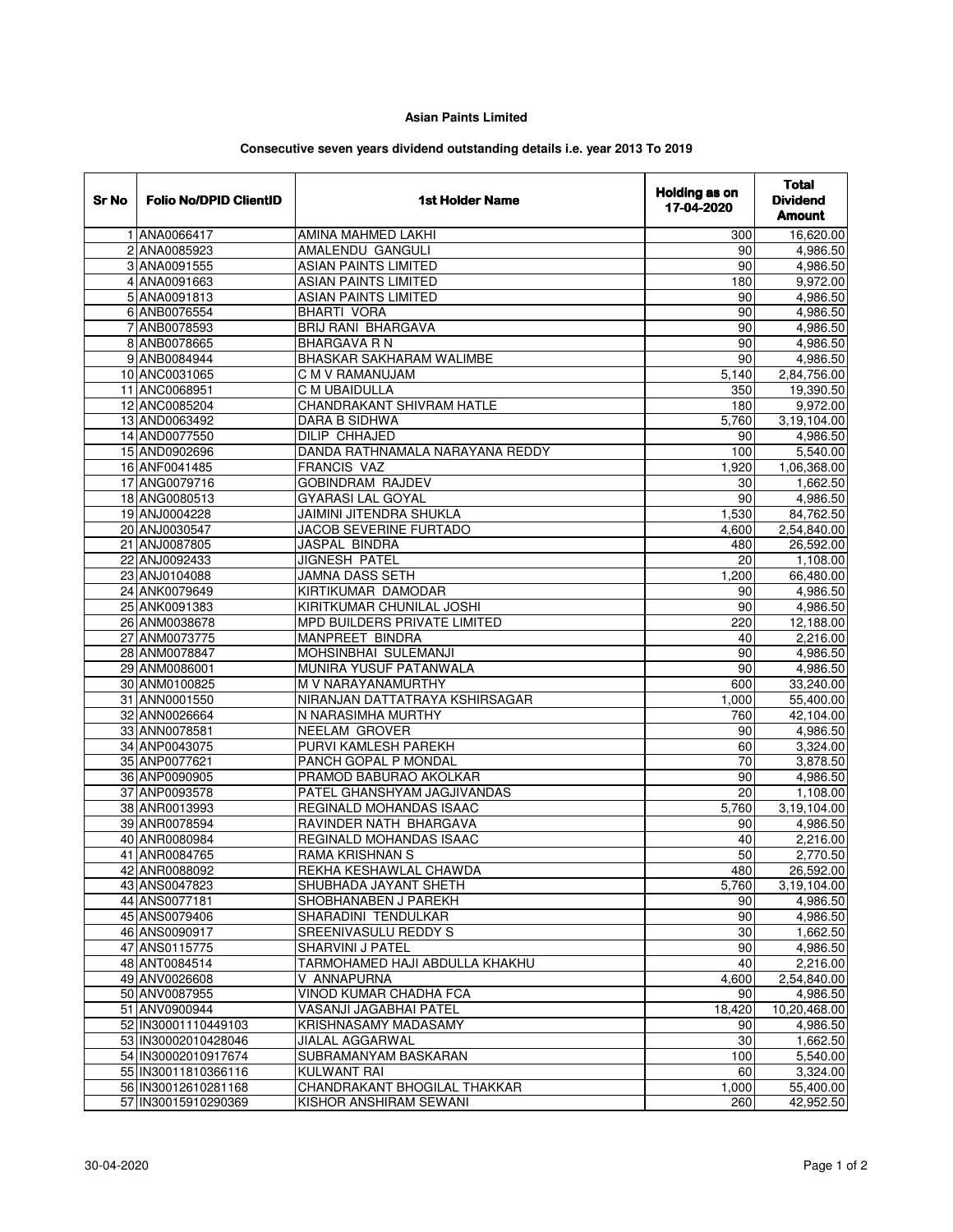## **Asian Paints Limited**

## **Consecutive seven years dividend outstanding details i.e. year 2013 To 2019**

| <b>Sr No</b> | <b>Folio No/DPID ClientID</b> | <b>1st Holder Name</b>          | <b>Holding as on</b><br>17-04-2020 | <b>Total</b><br><b>Dividend</b><br><b>Amount</b> |
|--------------|-------------------------------|---------------------------------|------------------------------------|--------------------------------------------------|
|              | 1 ANA0066417                  | AMINA MAHMED LAKHI              | 300                                | 16,620.00                                        |
|              | 2 ANA0085923                  | AMALENDU GANGULI                | 90                                 | 4,986.50                                         |
|              | 3 ANA0091555                  | <b>ASIAN PAINTS LIMITED</b>     | 90                                 | 4,986.50                                         |
|              | 4 ANA0091663                  | <b>ASIAN PAINTS LIMITED</b>     | 180                                | 9,972.00                                         |
|              | 5 ANA0091813                  | <b>ASIAN PAINTS LIMITED</b>     | 90                                 | 4,986.50                                         |
|              | 6 ANB0076554                  | <b>BHARTI VORA</b>              | 90                                 | 4,986.50                                         |
|              | 7 ANB0078593                  | <b>BRIJ RANI BHARGAVA</b>       | 90                                 | 4,986.50                                         |
|              | 8 ANB0078665                  | <b>BHARGAVA R N</b>             | 90                                 | 4,986.50                                         |
|              | 9 ANB0084944                  | <b>BHASKAR SAKHARAM WALIMBE</b> | 90                                 | 4,986.50                                         |
|              | 10 ANC0031065                 | C M V RAMANUJAM                 | 5,140                              | 2,84,756.00                                      |
|              | 11 ANC0068951                 | C M UBAIDULLA                   | 350                                | 19,390.50                                        |
|              | 12 ANC0085204                 | CHANDRAKANT SHIVRAM HATLE       | 180                                | 9,972.00                                         |
|              | 13 AND0063492                 | DARA B SIDHWA                   | 5,760                              | 3,19,104.00                                      |
|              | 14 AND0077550                 | <b>DILIP CHHAJED</b>            | 90                                 | 4,986.50                                         |
|              | 15 AND0902696                 | DANDA RATHNAMALA NARAYANA REDDY | 100                                | 5,540.00                                         |
|              | 16 ANF0041485                 | <b>FRANCIS VAZ</b>              | 1,920                              | 1,06,368.00                                      |
|              | 17 ANG0079716                 | <b>GOBINDRAM RAJDEV</b>         | 30                                 | 1,662.50                                         |
|              | 18 ANG0080513                 | <b>GYARASI LAL GOYAL</b>        | 90                                 | 4,986.50                                         |
|              | 19 ANJ0004228                 | JAIMINI JITENDRA SHUKLA         | 1,530                              | 84,762.50                                        |
|              | 20 ANJ0030547                 | JACOB SEVERINE FURTADO          | 4,600                              | 2,54,840.00                                      |
|              | 21 ANJ0087805                 | <b>JASPAL BINDRA</b>            |                                    |                                                  |
|              | 22 ANJ0092433                 | <b>JIGNESH PATEL</b>            | 480<br>$\overline{20}$             | 26,592.00<br>1,108.00                            |
|              |                               | <b>JAMNA DASS SETH</b>          |                                    |                                                  |
|              | 23 ANJ0104088                 |                                 | 1,200                              | 66,480.00                                        |
|              | 24 ANK0079649                 | KIRTIKUMAR DAMODAR              | 90                                 | 4,986.50                                         |
|              | 25 ANK0091383                 | KIRITKUMAR CHUNILAL JOSHI       | 90                                 | 4,986.50                                         |
|              | 26 ANM0038678                 | MPD BUILDERS PRIVATE LIMITED    | 220                                | 12,188.00                                        |
|              | 27 ANM0073775                 | MANPREET BINDRA                 | 40                                 | 2,216.00                                         |
|              | 28 ANM0078847                 | MOHSINBHAI SULEMANJI            | 90                                 | 4,986.50                                         |
|              | 29 ANM0086001                 | MUNIRA YUSUF PATANWALA          | 90                                 | 4,986.50                                         |
|              | 30 ANM0100825                 | M V NARAYANAMURTHY              | 600                                | 33,240.00                                        |
|              | 31 ANN0001550                 | NIRANJAN DATTATRAYA KSHIRSAGAR  | 1,000                              | 55,400.00                                        |
|              | 32 ANN0026664                 | N NARASIMHA MURTHY              | 760                                | 42,104.00                                        |
|              | 33 ANN0078581                 | NEELAM GROVER                   | 90                                 | 4,986.50                                         |
|              | 34 ANP0043075                 | PURVI KAMLESH PAREKH            | 60                                 | 3,324.00                                         |
|              | 35 ANP0077621                 | PANCH GOPAL P MONDAL            | 70                                 | 3,878.50                                         |
|              | 36 ANP0090905                 | PRAMOD BABURAO AKOLKAR          | 90                                 | 4,986.50                                         |
|              | 37 ANP0093578                 | PATEL GHANSHYAM JAGJIVANDAS     | 20                                 | 1,108.00                                         |
|              | 38 ANR0013993                 | REGINALD MOHANDAS ISAAC         | $\frac{1}{5,760}$                  | 3,19,104.00                                      |
|              | 39 ANR0078594                 | RAVINDER NATH BHARGAVA          | 90                                 | 4,986.50                                         |
|              | 40 ANR0080984                 | REGINALD MOHANDAS ISAAC         | 40                                 | 2,216.00                                         |
|              | 41 ANR0084765                 | RAMA KRISHNAN S                 | 50                                 | 2,770.50                                         |
|              | 42 ANR0088092                 | REKHA KESHAWLAL CHAWDA          | 480                                | 26,592.00                                        |
|              | 43 ANS0047823                 | SHUBHADA JAYANT SHETH           | 5,760                              | 3,19,104.00                                      |
|              | 44 ANS0077181                 | SHOBHANABEN J PAREKH            | 90                                 | 4,986.50                                         |
|              | 45 ANS0079406                 | SHARADINI TENDULKAR             | 90                                 | 4,986.50                                         |
|              | 46 ANS0090917                 | SREENIVASULU REDDY S            | 30                                 | 1,662.50                                         |
|              | 47 ANS0115775                 | <b>SHARVINI J PATEL</b>         | 90                                 | 4,986.50                                         |
|              | 48 ANT0084514                 | TARMOHAMED HAJI ABDULLA KHAKHU  | 40                                 | 2,216.00                                         |
|              | 49 ANV0026608                 | V ANNAPURNA                     | 4,600                              | 2,54,840.00                                      |
|              | 50 ANV0087955                 | VINOD KUMAR CHADHA FCA          | 90                                 | 4,986.50                                         |
|              | 51 ANV0900944                 | VASANJI JAGABHAI PATEL          | 18,420                             | 10,20,468.00                                     |
|              | 52 IN30001110449103           | KRISHNASAMY MADASAMY            | 90                                 | 4,986.50                                         |
|              | 53 IN30002010428046           | JIALAL AGGARWAL                 | 30                                 | 1,662.50                                         |
|              | 54 IN30002010917674           | SUBRAMANYAM BASKARAN            | 100                                | 5,540.00                                         |
|              | 55 IN30011810366116           | <b>KULWANT RAI</b>              | 60                                 | 3,324.00                                         |
|              | 56 IN30012610281168           | CHANDRAKANT BHOGILAL THAKKAR    | 1,000                              | 55,400.00                                        |
|              | 57 IN30015910290369           | KISHOR ANSHIRAM SEWANI          | 260                                | 42,952.50                                        |